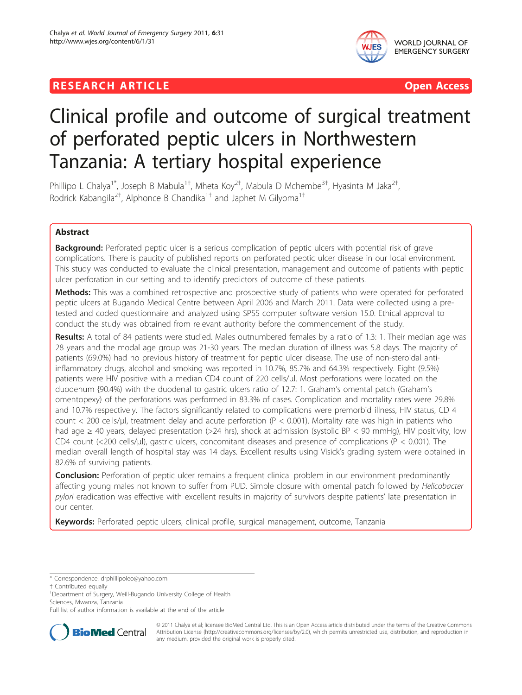# **RESEARCH ARTICLE Example 2018 CONSUMING ACCESS**



# Clinical profile and outcome of surgical treatment of perforated peptic ulcers in Northwestern Tanzania: A tertiary hospital experience

Phillipo L Chalya<sup>1\*</sup>, Joseph B Mabula<sup>1†</sup>, Mheta Koy<sup>2†</sup>, Mabula D Mchembe<sup>3†</sup>, Hyasinta M Jaka<sup>2†</sup> , Rodrick Kabangila<sup>2†</sup>, Alphonce B Chandika<sup>1†</sup> and Japhet M Gilyoma<sup>1†</sup>

# Abstract

**Background:** Perforated peptic ulcer is a serious complication of peptic ulcers with potential risk of grave complications. There is paucity of published reports on perforated peptic ulcer disease in our local environment. This study was conducted to evaluate the clinical presentation, management and outcome of patients with peptic ulcer perforation in our setting and to identify predictors of outcome of these patients.

Methods: This was a combined retrospective and prospective study of patients who were operated for perforated peptic ulcers at Bugando Medical Centre between April 2006 and March 2011. Data were collected using a pretested and coded questionnaire and analyzed using SPSS computer software version 15.0. Ethical approval to conduct the study was obtained from relevant authority before the commencement of the study.

Results: A total of 84 patients were studied. Males outnumbered females by a ratio of 1.3: 1. Their median age was 28 years and the modal age group was 21-30 years. The median duration of illness was 5.8 days. The majority of patients (69.0%) had no previous history of treatment for peptic ulcer disease. The use of non-steroidal antiinflammatory drugs, alcohol and smoking was reported in 10.7%, 85.7% and 64.3% respectively. Eight (9.5%) patients were HIV positive with a median CD4 count of 220 cells/μl. Most perforations were located on the duodenum {90.4%) with the duodenal to gastric ulcers ratio of 12.7: 1. Graham's omental patch (Graham's omentopexy) of the perforations was performed in 83.3% of cases. Complication and mortality rates were 29.8% and 10.7% respectively. The factors significantly related to complications were premorbid illness, HIV status, CD 4 count < 200 cells/μl, treatment delay and acute perforation (P < 0.001). Mortality rate was high in patients who had age ≥ 40 years, delayed presentation (>24 hrs), shock at admission (systolic BP < 90 mmHg), HIV positivity, low CD4 count (<200 cells/μl), gastric ulcers, concomitant diseases and presence of complications (P < 0.001). The median overall length of hospital stay was 14 days. Excellent results using Visick's grading system were obtained in 82.6% of surviving patients.

**Conclusion:** Perforation of peptic ulcer remains a frequent clinical problem in our environment predominantly affecting young males not known to suffer from PUD. Simple closure with omental patch followed by Helicobacter pylori eradication was effective with excellent results in majority of survivors despite patients' late presentation in our center.

Keywords: Perforated peptic ulcers, clinical profile, surgical management, outcome, Tanzania

\* Correspondence: [drphillipoleo@yahoo.com](mailto:drphillipoleo@yahoo.com)

† Contributed equally <sup>1</sup>

<sup>1</sup>Department of Surgery, Weill-Bugando University College of Health Sciences, Mwanza, Tanzania

Full list of author information is available at the end of the article



© 2011 Chalya et al; licensee BioMed Central Ltd. This is an Open Access article distributed under the terms of the Creative Commons Attribution License [\(http://creativecommons.org/licenses/by/2.0](http://creativecommons.org/licenses/by/2.0)), which permits unrestricted use, distribution, and reproduction in any medium, provided the original work is properly cited.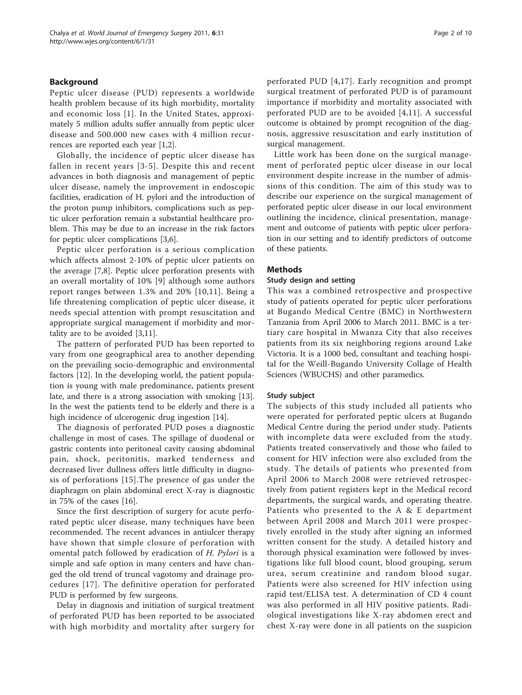# Background

Peptic ulcer disease (PUD) represents a worldwide health problem because of its high morbidity, mortality and economic loss [[1\]](#page-8-0). In the United States, approximately 5 million adults suffer annually from peptic ulcer disease and 500.000 new cases with 4 million recurrences are reported each year [\[1,2](#page-8-0)].

Globally, the incidence of peptic ulcer disease has fallen in recent years [[3](#page-8-0)-[5\]](#page-8-0). Despite this and recent advances in both diagnosis and management of peptic ulcer disease, namely the improvement in endoscopic facilities, eradication of H. pylori and the introduction of the proton pump inhibitors, complications such as peptic ulcer perforation remain a substantial healthcare problem. This may be due to an increase in the risk factors for peptic ulcer complications [\[3,6\]](#page-8-0).

Peptic ulcer perforation is a serious complication which affects almost 2-10% of peptic ulcer patients on the average [[7,8\]](#page-8-0). Peptic ulcer perforation presents with an overall mortality of 10% [\[9](#page-8-0)] although some authors report ranges between 1.3% and 20% [[10,11\]](#page-8-0). Being a life threatening complication of peptic ulcer disease, it needs special attention with prompt resuscitation and appropriate surgical management if morbidity and mortality are to be avoided [[3](#page-8-0),[11](#page-8-0)].

The pattern of perforated PUD has been reported to vary from one geographical area to another depending on the prevailing socio-demographic and environmental factors [\[12](#page-8-0)]. In the developing world, the patient population is young with male predominance, patients present late, and there is a strong association with smoking [\[13](#page-8-0)]. In the west the patients tend to be elderly and there is a high incidence of ulcerogenic drug ingestion [\[14\]](#page-8-0).

The diagnosis of perforated PUD poses a diagnostic challenge in most of cases. The spillage of duodenal or gastric contents into peritoneal cavity causing abdominal pain, shock, peritonitis, marked tenderness and decreased liver dullness offers little difficulty in diagnosis of perforations [[15](#page-8-0)].The presence of gas under the diaphragm on plain abdominal erect X-ray is diagnostic in 75% of the cases [\[16\]](#page-8-0).

Since the first description of surgery for acute perforated peptic ulcer disease, many techniques have been recommended. The recent advances in antiulcer therapy have shown that simple closure of perforation with omental patch followed by eradication of H. Pylori is a simple and safe option in many centers and have changed the old trend of truncal vagotomy and drainage procedures [\[17\]](#page-8-0). The definitive operation for perforated PUD is performed by few surgeons.

Delay in diagnosis and initiation of surgical treatment of perforated PUD has been reported to be associated with high morbidity and mortality after surgery for perforated PUD [[4](#page-8-0),[17\]](#page-8-0). Early recognition and prompt surgical treatment of perforated PUD is of paramount importance if morbidity and mortality associated with perforated PUD are to be avoided [\[4,11](#page-8-0)]. A successful outcome is obtained by prompt recognition of the diagnosis, aggressive resuscitation and early institution of surgical management.

Little work has been done on the surgical management of perforated peptic ulcer disease in our local environment despite increase in the number of admissions of this condition. The aim of this study was to describe our experience on the surgical management of perforated peptic ulcer disease in our local environment outlining the incidence, clinical presentation, management and outcome of patients with peptic ulcer perforation in our setting and to identify predictors of outcome of these patients.

# Methods

## Study design and setting

This was a combined retrospective and prospective study of patients operated for peptic ulcer perforations at Bugando Medical Centre (BMC) in Northwestern Tanzania from April 2006 to March 2011. BMC is a tertiary care hospital in Mwanza City that also receives patients from its six neighboring regions around Lake Victoria. It is a 1000 bed, consultant and teaching hospital for the Weill-Bugando University Collage of Health Sciences (WBUCHS) and other paramedics.

# Study subject

The subjects of this study included all patients who were operated for perforated peptic ulcers at Bugando Medical Centre during the period under study. Patients with incomplete data were excluded from the study. Patients treated conservatively and those who failed to consent for HIV infection were also excluded from the study. The details of patients who presented from April 2006 to March 2008 were retrieved retrospectively from patient registers kept in the Medical record departments, the surgical wards, and operating theatre. Patients who presented to the A & E department between April 2008 and March 2011 were prospectively enrolled in the study after signing an informed written consent for the study. A detailed history and thorough physical examination were followed by investigations like full blood count, blood grouping, serum urea, serum creatinine and random blood sugar. Patients were also screened for HIV infection using rapid test/ELISA test. A determination of CD 4 count was also performed in all HIV positive patients. Radiological investigations like X-ray abdomen erect and chest X-ray were done in all patients on the suspicion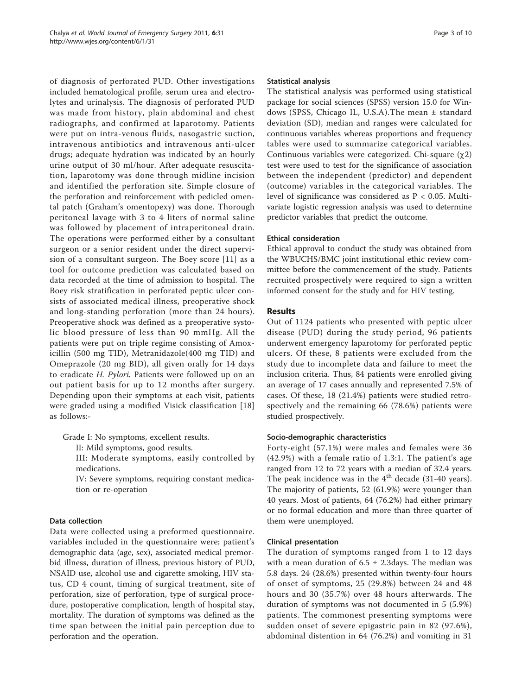of diagnosis of perforated PUD. Other investigations included hematological profile, serum urea and electrolytes and urinalysis. The diagnosis of perforated PUD was made from history, plain abdominal and chest radiographs, and confirmed at laparotomy. Patients were put on intra-venous fluids, nasogastric suction, intravenous antibiotics and intravenous anti-ulcer drugs; adequate hydration was indicated by an hourly urine output of 30 ml/hour. After adequate resuscitation, laparotomy was done through midline incision and identified the perforation site. Simple closure of the perforation and reinforcement with pedicled omental patch (Graham's omentopexy) was done. Thorough peritoneal lavage with 3 to 4 liters of normal saline was followed by placement of intraperitoneal drain. The operations were performed either by a consultant surgeon or a senior resident under the direct supervision of a consultant surgeon. The Boey score [\[11](#page-8-0)] as a tool for outcome prediction was calculated based on data recorded at the time of admission to hospital. The Boey risk stratification in perforated peptic ulcer consists of associated medical illness, preoperative shock and long-standing perforation (more than 24 hours). Preoperative shock was defined as a preoperative systolic blood pressure of less than 90 mmHg. All the patients were put on triple regime consisting of Amoxicillin (500 mg TID), Metranidazole(400 mg TID) and Omeprazole (20 mg BID), all given orally for 14 days to eradicate H. Pylori. Patients were followed up on an out patient basis for up to 12 months after surgery. Depending upon their symptoms at each visit, patients were graded using a modified Visick classification [\[18](#page-8-0)] as follows:-

Grade I: No symptoms, excellent results.

II: Mild symptoms, good results.

III: Moderate symptoms, easily controlled by medications.

IV: Severe symptoms, requiring constant medication or re-operation

# Data collection

Data were collected using a preformed questionnaire. variables included in the questionnaire were; patient's demographic data (age, sex), associated medical premorbid illness, duration of illness, previous history of PUD, NSAID use, alcohol use and cigarette smoking, HIV status, CD 4 count, timing of surgical treatment, site of perforation, size of perforation, type of surgical procedure, postoperative complication, length of hospital stay, mortality. The duration of symptoms was defined as the time span between the initial pain perception due to perforation and the operation.

# Statistical analysis

The statistical analysis was performed using statistical package for social sciences (SPSS) version 15.0 for Windows (SPSS, Chicago IL, U.S.A).The mean ± standard deviation (SD), median and ranges were calculated for continuous variables whereas proportions and frequency tables were used to summarize categorical variables. Continuous variables were categorized. Chi-square  $(\gamma 2)$ test were used to test for the significance of association between the independent (predictor) and dependent (outcome) variables in the categorical variables. The level of significance was considered as P < 0.05. Multivariate logistic regression analysis was used to determine predictor variables that predict the outcome.

# Ethical consideration

Ethical approval to conduct the study was obtained from the WBUCHS/BMC joint institutional ethic review committee before the commencement of the study. Patients recruited prospectively were required to sign a written informed consent for the study and for HIV testing.

# Results

Out of 1124 patients who presented with peptic ulcer disease (PUD) during the study period, 96 patients underwent emergency laparotomy for perforated peptic ulcers. Of these, 8 patients were excluded from the study due to incomplete data and failure to meet the inclusion criteria. Thus, 84 patients were enrolled giving an average of 17 cases annually and represented 7.5% of cases. Of these, 18 (21.4%) patients were studied retrospectively and the remaining 66 (78.6%) patients were studied prospectively.

# Socio-demographic characteristics

Forty-eight (57.1%) were males and females were 36 (42.9%) with a female ratio of 1.3:1. The patient's age ranged from 12 to 72 years with a median of 32.4 years. The peak incidence was in the  $4<sup>th</sup>$  decade (31-40 years). The majority of patients, 52 (61.9%) were younger than 40 years. Most of patients, 64 (76.2%) had either primary or no formal education and more than three quarter of them were unemployed.

# Clinical presentation

The duration of symptoms ranged from 1 to 12 days with a mean duration of  $6.5 \pm 2.3$  days. The median was 5.8 days. 24 (28.6%) presented within twenty-four hours of onset of symptoms, 25 (29.8%) between 24 and 48 hours and 30 (35.7%) over 48 hours afterwards. The duration of symptoms was not documented in 5 (5.9%) patients. The commonest presenting symptoms were sudden onset of severe epigastric pain in 82 (97.6%), abdominal distention in 64 (76.2%) and vomiting in 31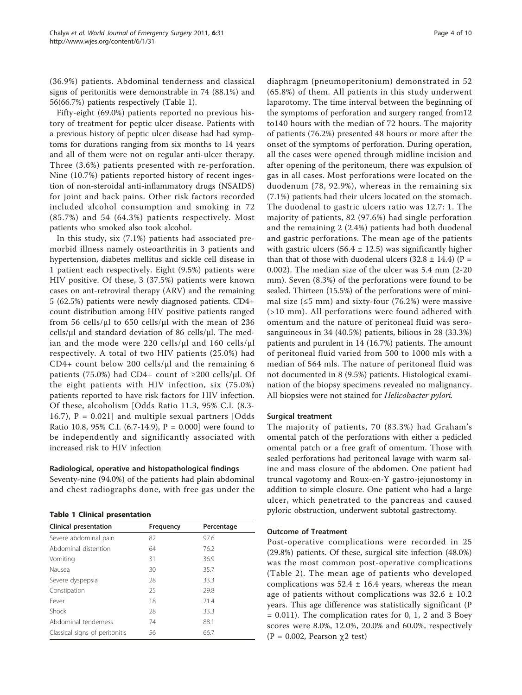(36.9%) patients. Abdominal tenderness and classical signs of peritonitis were demonstrable in 74 (88.1%) and 56(66.7%) patients respectively (Table 1).

Fifty-eight (69.0%) patients reported no previous history of treatment for peptic ulcer disease. Patients with a previous history of peptic ulcer disease had had symptoms for durations ranging from six months to 14 years and all of them were not on regular anti-ulcer therapy. Three (3.6%) patients presented with re-perforation. Nine (10.7%) patients reported history of recent ingestion of non-steroidal anti-inflammatory drugs (NSAIDS) for joint and back pains. Other risk factors recorded included alcohol consumption and smoking in 72 (85.7%) and 54 (64.3%) patients respectively. Most patients who smoked also took alcohol.

In this study, six (7.1%) patients had associated premorbid illness namely osteoarthritis in 3 patients and hypertension, diabetes mellitus and sickle cell disease in 1 patient each respectively. Eight (9.5%) patients were HIV positive. Of these, 3 (37.5%) patients were known cases on ant-retroviral therapy (ARV) and the remaining 5 (62.5%) patients were newly diagnosed patients. CD4+ count distribution among HIV positive patients ranged from 56 cells/μl to 650 cells/μl with the mean of 236 cells/μl and standard deviation of 86 cells/μl. The median and the mode were 220 cells/μl and 160 cells/μl respectively. A total of two HIV patients (25.0%) had CD4+ count below 200 cells/μl and the remaining 6 patients (75.0%) had CD4+ count of  $\geq 200$  cells/μl. Of the eight patients with HIV infection, six (75.0%) patients reported to have risk factors for HIV infection. Of these, alcoholism [Odds Ratio 11.3, 95% C.I. (8.3- 16.7),  $P = 0.021$  and multiple sexual partners [Odds Ratio 10.8, 95% C.I. (6.7-14.9),  $P = 0.000$ ] were found to be independently and significantly associated with increased risk to HIV infection

# Radiological, operative and histopathological findings

Seventy-nine (94.0%) of the patients had plain abdominal and chest radiographs done, with free gas under the

| <b>Table 1 Clinical presentation</b> |  |
|--------------------------------------|--|
|--------------------------------------|--|

| Clinical presentation          | Frequency | Percentage |
|--------------------------------|-----------|------------|
| Severe abdominal pain          | 82        | 97.6       |
| Abdominal distention           | 64        | 76.2       |
| Vomiting                       | 31        | 36.9       |
| Nausea                         | 30        | 35.7       |
| Severe dyspepsia               | 28        | 33.3       |
| Constipation                   | 25        | 29.8       |
| Fever                          | 18        | 21.4       |
| Shock                          | 28        | 33.3       |
| Abdominal tenderness           | 74        | 88.1       |
| Classical signs of peritonitis | 56        | 66.7       |

diaphragm (pneumoperitonium) demonstrated in 52 (65.8%) of them. All patients in this study underwent laparotomy. The time interval between the beginning of the symptoms of perforation and surgery ranged from12 to140 hours with the median of 72 hours. The majority of patients (76.2%) presented 48 hours or more after the onset of the symptoms of perforation. During operation, all the cases were opened through midline incision and after opening of the peritoneum, there was expulsion of gas in all cases. Most perforations were located on the duodenum {78, 92.9%), whereas in the remaining six (7.1%) patients had their ulcers located on the stomach. The duodenal to gastric ulcers ratio was 12.7: 1. The majority of patients, 82 (97.6%) had single perforation and the remaining 2 (2.4%) patients had both duodenal and gastric perforations. The mean age of the patients with gastric ulcers  $(56.4 \pm 12.5)$  was significantly higher than that of those with duodenal ulcers  $(32.8 \pm 14.4)$  (P = 0.002). The median size of the ulcer was 5.4 mm (2-20 mm). Seven (8.3%) of the perforations were found to be sealed. Thirteen (15.5%) of the perforations were of minimal size ( $\leq$ 5 mm) and sixty-four (76.2%) were massive (>10 mm). All perforations were found adhered with omentum and the nature of peritoneal fluid was serosanguineous in 34 (40.5%) patients, bilious in 28 (33.3%) patients and purulent in 14 (16.7%) patients. The amount of peritoneal fluid varied from 500 to 1000 mls with a median of 564 mls. The nature of peritoneal fluid was not documented in 8 (9.5%) patients. Histological examination of the biopsy specimens revealed no malignancy. All biopsies were not stained for Helicobacter pylori.

#### Surgical treatment

The majority of patients, 70 (83.3%) had Graham's omental patch of the perforations with either a pedicled omental patch or a free graft of omentum. Those with sealed perforations had peritoneal lavage with warm saline and mass closure of the abdomen. One patient had truncal vagotomy and Roux-en-Y gastro-jejunostomy in addition to simple closure. One patient who had a large ulcer, which penetrated to the pancreas and caused pyloric obstruction, underwent subtotal gastrectomy.

#### Outcome of Treatment

Post-operative complications were recorded in 25 (29.8%) patients. Of these, surgical site infection (48.0%) was the most common post-operative complications (Table [2\)](#page-4-0). The mean age of patients who developed complications was  $52.4 \pm 16.4$  years, whereas the mean age of patients without complications was  $32.6 \pm 10.2$ years. This age difference was statistically significant (P  $= 0.011$ ). The complication rates for 0, 1, 2 and 3 Boey scores were 8.0%, 12.0%, 20.0% and 60.0%, respectively (P = 0.002, Pearson  $\chi$ 2 test)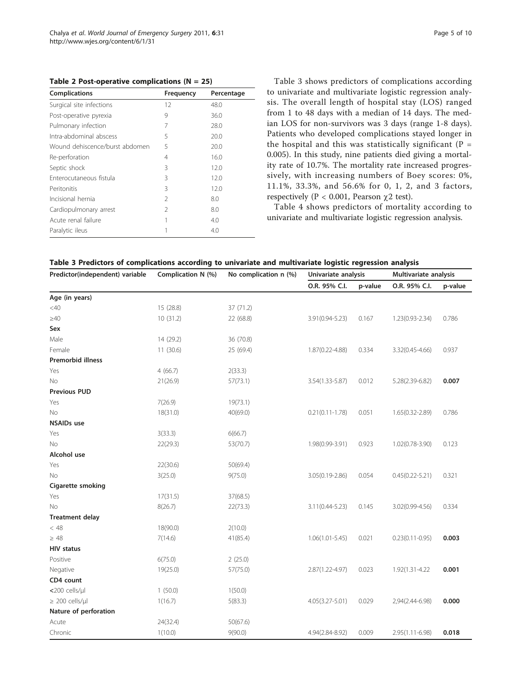<span id="page-4-0"></span>Table 2 Post-operative complications ( $N = 25$ )

| <b>Complications</b>           | Frequency     | Percentage |
|--------------------------------|---------------|------------|
| Surgical site infections       | 12            | 48.0       |
| Post-operative pyrexia         | 9             | 36.0       |
| Pulmonary infection            | 7             | 28.0       |
| Intra-abdominal abscess        | 5             | 20.0       |
| Wound dehiscence/burst abdomen | 5             | 20.0       |
| Re-perforation                 | 4             | 16.0       |
| Septic shock                   | 3             | 12.0       |
| Enterocutaneous fistula        | 3             | 12.0       |
| Peritonitis                    | 3             | 12.0       |
| Incisional hernia              | $\mathcal{P}$ | 8.0        |
| Cardiopulmonary arrest         | 2             | 8.0        |
| Acute renal failure            | 1             | 4.0        |
| Paralytic ileus                |               | 4.0        |

Table 3 shows predictors of complications according to univariate and multivariate logistic regression analysis. The overall length of hospital stay (LOS) ranged from 1 to 48 days with a median of 14 days. The median LOS for non-survivors was 3 days (range 1-8 days). Patients who developed complications stayed longer in the hospital and this was statistically significant ( $P =$ 0.005). In this study, nine patients died giving a mortality rate of 10.7%. The mortality rate increased progressively, with increasing numbers of Boey scores: 0%, 11.1%, 33.3%, and 56.6% for 0, 1, 2, and 3 factors, respectively (P < 0.001, Pearson  $\chi$ 2 test).

Table [4](#page-5-0) shows predictors of mortality according to univariate and multivariate logistic regression analysis.

| Table 3 Predictors of complications according to univariate and multivariate logistic regression analysis |  |  |  |  |
|-----------------------------------------------------------------------------------------------------------|--|--|--|--|
|                                                                                                           |  |  |  |  |
|                                                                                                           |  |  |  |  |

| Predictor(independent) variable | Complication N (%)<br>No complication n (%) |           | Univariate analysis |         | Multivariate analysis |         |
|---------------------------------|---------------------------------------------|-----------|---------------------|---------|-----------------------|---------|
|                                 |                                             |           | O.R. 95% C.I.       | p-value | O.R. 95% C.I.         | p-value |
| Age (in years)                  |                                             |           |                     |         |                       |         |
| $<$ 40                          | 15 (28.8)                                   | 37 (71.2) |                     |         |                       |         |
| $\geq 40$                       | 10(31.2)                                    | 22 (68.8) | 3.91(0.94-5.23)     | 0.167   | $1.23(0.93 - 2.34)$   | 0.786   |
| Sex                             |                                             |           |                     |         |                       |         |
| Male                            | 14 (29.2)                                   | 36 (70.8) |                     |         |                       |         |
| Female                          | 11(30.6)                                    | 25 (69.4) | 1.87(0.22-4.88)     | 0.334   | $3.32(0.45 - 4.66)$   | 0.937   |
| <b>Premorbid illness</b>        |                                             |           |                     |         |                       |         |
| Yes                             | 4(66.7)                                     | 2(33.3)   |                     |         |                       |         |
| No                              | 21(26.9)                                    | 57(73.1)  | 3.54(1.33-5.87)     | 0.012   | 5.28(2.39-6.82)       | 0.007   |
| <b>Previous PUD</b>             |                                             |           |                     |         |                       |         |
| Yes                             | 7(26.9)                                     | 19(73.1)  |                     |         |                       |         |
| No                              | 18(31.0)                                    | 40(69.0)  | $0.21(0.11 - 1.78)$ | 0.051   | $1.65(0.32 - 2.89)$   | 0.786   |
| <b>NSAIDs</b> use               |                                             |           |                     |         |                       |         |
| Yes                             | 3(33.3)                                     | 6(66.7)   |                     |         |                       |         |
| No                              | 22(29.3)                                    | 53(70.7)  | 1.98(0.99-3.91)     | 0.923   | $1.02(0.78 - 3.90)$   | 0.123   |
| Alcohol use                     |                                             |           |                     |         |                       |         |
| Yes                             | 22(30.6)                                    | 50(69.4)  |                     |         |                       |         |
| No                              | 3(25.0)                                     | 9(75.0)   | 3.05(0.19-2.86)     | 0.054   | $0.45(0.22 - 5.21)$   | 0.321   |
| Cigarette smoking               |                                             |           |                     |         |                       |         |
| Yes                             | 17(31.5)                                    | 37(68.5)  |                     |         |                       |         |
| No                              | 8(26.7)                                     | 22(73.3)  | 3.11(0.44-5.23)     | 0.145   | $3.02(0.99 - 4.56)$   | 0.334   |
| <b>Treatment delay</b>          |                                             |           |                     |         |                       |         |
| < 48                            | 18(90.0)                                    | 2(10.0)   |                     |         |                       |         |
| $\geq 48$                       | 7(14.6)                                     | 41(85.4)  | $1.06(1.01 - 5.45)$ | 0.021   | $0.23(0.11 - 0.95)$   | 0.003   |
| <b>HIV status</b>               |                                             |           |                     |         |                       |         |
| Positive                        | 6(75.0)                                     | 2(25.0)   |                     |         |                       |         |
| Negative                        | 19(25.0)                                    | 57(75.0)  | 2.87(1.22-4.97)     | 0.023   | 1.92(1.31-4.22        | 0.001   |
| CD4 count                       |                                             |           |                     |         |                       |         |
| <200 cells/µl                   | 1(50.0)                                     | 1(50.0)   |                     |         |                       |         |
| $\geq 200$ cells/µl             | 1(16.7)                                     | 5(83.3)   | $4.05(3.27 - 5.01)$ | 0.029   | 2,94(2.44-6.98)       | 0.000   |
| Nature of perforation           |                                             |           |                     |         |                       |         |
| Acute                           | 24(32.4)                                    | 50(67.6)  |                     |         |                       |         |
| Chronic                         | 1(10.0)                                     | 9(90.0)   | 4.94(2.84-8.92)     | 0.009   | 2.95(1.11-6.98)       | 0.018   |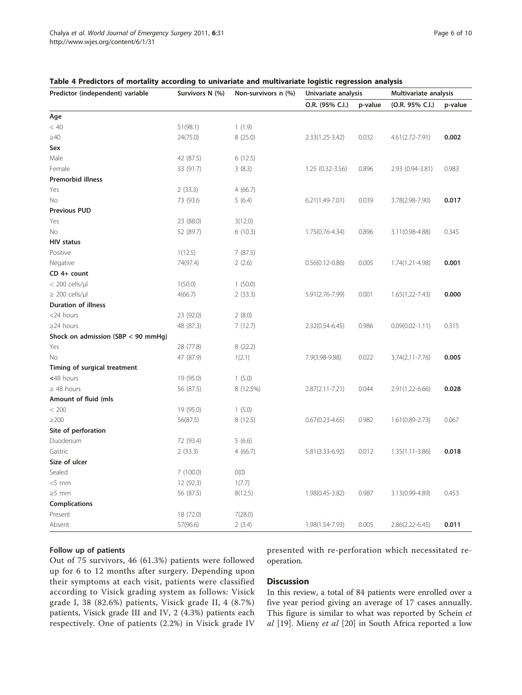| Predictor (independent) variable   | Survivors N (%) | Non-survivors n (%) | Univariate analysis |         | Multivariate analysis |         |
|------------------------------------|-----------------|---------------------|---------------------|---------|-----------------------|---------|
|                                    |                 |                     | O.R. (95% C.I.)     | p-value | (O.R. 95% C.I.)       | p-value |
| Age                                |                 |                     |                     |         |                       |         |
| < 40                               | 51(98.1)        | 1(1.9)              |                     |         |                       |         |
| $\geq 40$                          | 24(75.0)        | 8(25.0)             | $2.33(1.25 - 3.42)$ | 0.032   | 4.61(2.72-7.91)       | 0.002   |
| Sex                                |                 |                     |                     |         |                       |         |
| Male                               | 42 (87.5)       | 6(12.5)             |                     |         |                       |         |
| Female                             | 33 (91.7)       | 3(8.3)              | $1.25(0.32 - 3.56)$ | 0.896   | 2.93 (0.94-3.81)      | 0.983   |
| <b>Premorbid illness</b>           |                 |                     |                     |         |                       |         |
| Yes                                | 2(33.3)         | 4(66.7)             |                     |         |                       |         |
| No                                 | 73 (93.6        | 5(6.4)              | $6.21(1.49 - 7.01)$ | 0.039   | 3.78(2.98-7.90)       | 0.017   |
| <b>Previous PUD</b>                |                 |                     |                     |         |                       |         |
| Yes                                | 23 (88.0)       | 3(12.0)             |                     |         |                       |         |
| No                                 | 52 (89.7)       | 6(10.3)             | 1.75(0.76-4.34)     | 0.896   | 3.11(0.98-4.88)       | 0.345   |
| <b>HIV status</b>                  |                 |                     |                     |         |                       |         |
| Positive                           | 1(12.5)         | 7(87.5)             |                     |         |                       |         |
| Negative                           | 74(97.4)        | 2(2.6)              | $0.56(0.12 - 0.86)$ | 0.005   | 1.74(1.21-4.98)       | 0.001   |
| CD 4+ count                        |                 |                     |                     |         |                       |         |
| < 200 cells/µl                     | 1(50.0)         | 1(50.0)             |                     |         |                       |         |
| $\geq 200$ cells/µl                | 4(66.7)         | 2(33.3)             | 5.91(2.76-7.99)     | 0.001   | $1.65(1,22-7.43)$     | 0.000   |
| <b>Duration of illness</b>         |                 |                     |                     |         |                       |         |
| <24 hours                          | 23 (92.0)       | 2(8.0)              |                     |         |                       |         |
| $\geq$ 24 hours                    | 48 (87.3)       | 7(12.7)             | $2.32(0.54-6.45)$   | 0.986   | $0.09(0.02 - 1.11)$   | 0.315   |
| Shock on admission (SBP < 90 mmHg) |                 |                     |                     |         |                       |         |
| Yes                                | 28 (77.8)       | 8(22.2)             |                     |         |                       |         |
| Νo                                 | 47 (87.9)       | 1(2.1)              | 7.9(3.98-9.88)      | 0.022   | 3,74(2,11-7.76)       | 0.005   |
| Timing of surgical treatment       |                 |                     |                     |         |                       |         |
| <48 hours                          | 19 (95.0)       | 1(5.0)              |                     |         |                       |         |
| $\geq$ 48 hours                    | 56 (87.5)       | 8 (12.5%)           | $2.87(2.11 - 7.21)$ | 0.044   | 2.91(1.22-6.66)       | 0.028   |
| Amount of fluid (mls               |                 |                     |                     |         |                       |         |
| < 200                              | 19 (95.0)       | 1(5.0)              |                     |         |                       |         |
| $\geq$ 200                         | 56(87.5)        | 8(12.5)             | $0.67(0.23 - 4.65)$ | 0.982   | $1.61(0.89 - 2.73)$   | 0.067   |
| Site of perforation                |                 |                     |                     |         |                       |         |
| Duodenum                           | 72 (93.4)       | 5(6.6)              |                     |         |                       |         |
| Gastric                            | 2(33.3)         | 4(66.7)             | 5.81(3.33-6.92)     | 0.012   | $1.35(1.11 - 3.86)$   | 0.018   |
| Size of ulcer                      |                 |                     |                     |         |                       |         |
| Sealed                             | 7(100.0)        | O(0)                |                     |         |                       |         |
| $<$ 5 mm                           | 12 (92.3)       | 1(7.7)              |                     |         |                       |         |
| $\geq$ 5 mm                        | 56 (87.5)       | 8(12.5)             | 1.98(0.45-3.82)     | 0.987   | 3.13(0.99-4.89)       | 0.453   |
| Complications                      |                 |                     |                     |         |                       |         |
| Present                            | 18 (72.0)       | 7(28.0)             |                     |         |                       |         |
| Absent                             | 57(96.6)        | 2(3.4)              | 1.98(1.54-7.93)     | 0.005   | $2.86(2.22 - 6.45)$   | 0.011   |

<span id="page-5-0"></span>

| Table 4 Predictors of mortality according to univariate and multivariate logistic regression analysis |  |  |  |  |  |
|-------------------------------------------------------------------------------------------------------|--|--|--|--|--|
|-------------------------------------------------------------------------------------------------------|--|--|--|--|--|

# Follow up of patients

Out of 75 survivors, 46 (61.3%) patients were followed up for 6 to 12 months after surgery. Depending upon their symptoms at each visit, patients were classified according to Visick grading system as follows: Visick grade I, 38 (82.6%) patients, Visick grade II, 4 (8.7%) patients, Visick grade III and IV, 2 (4.3%) patients each respectively. One of patients (2.2%) in Visick grade IV

presented with re-perforation which necessitated reoperation.

# Discussion

In this review, a total of 84 patients were enrolled over a five year period giving an average of 17 cases annually. This figure is similar to what was reported by Schein et al [\[19](#page-8-0)]. Mieny et al [\[20](#page-8-0)] in South Africa reported a low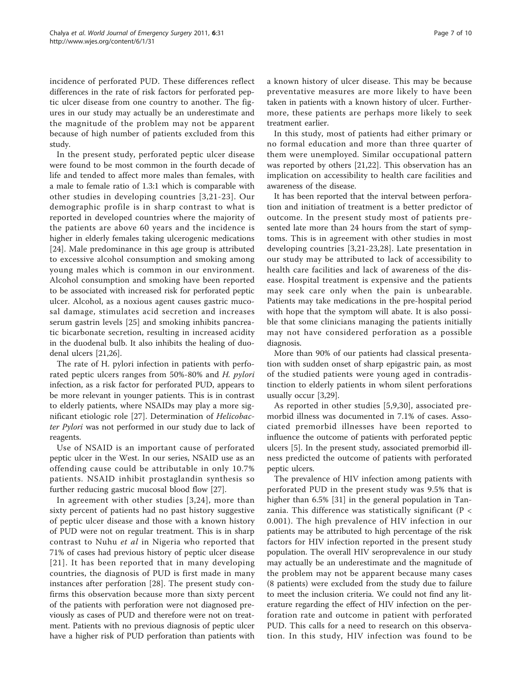incidence of perforated PUD. These differences reflect differences in the rate of risk factors for perforated peptic ulcer disease from one country to another. The figures in our study may actually be an underestimate and the magnitude of the problem may not be apparent because of high number of patients excluded from this study.

In the present study, perforated peptic ulcer disease were found to be most common in the fourth decade of life and tended to affect more males than females, with a male to female ratio of 1.3:1 which is comparable with other studies in developing countries [[3,21-23](#page-8-0)]. Our demographic profile is in sharp contrast to what is reported in developed countries where the majority of the patients are above 60 years and the incidence is higher in elderly females taking ulcerogenic medications [[24\]](#page-8-0). Male predominance in this age group is attributed to excessive alcohol consumption and smoking among young males which is common in our environment. Alcohol consumption and smoking have been reported to be associated with increased risk for perforated peptic ulcer. Alcohol, as a noxious agent causes gastric mucosal damage, stimulates acid secretion and increases serum gastrin levels [[25\]](#page-9-0) and smoking inhibits pancreatic bicarbonate secretion, resulting in increased acidity in the duodenal bulb. It also inhibits the healing of duodenal ulcers [\[21](#page-8-0)[,26\]](#page-9-0).

The rate of H. pylori infection in patients with perforated peptic ulcers ranges from 50%-80% and H. pylori infection, as a risk factor for perforated PUD, appears to be more relevant in younger patients. This is in contrast to elderly patients, where NSAIDs may play a more significant etiologic role [[27\]](#page-9-0). Determination of Helicobacter Pylori was not performed in our study due to lack of reagents.

Use of NSAID is an important cause of perforated peptic ulcer in the West. In our series, NSAID use as an offending cause could be attributable in only 10.7% patients. NSAID inhibit prostaglandin synthesis so further reducing gastric mucosal blood flow [\[27](#page-9-0)].

In agreement with other studies [[3,24\]](#page-8-0), more than sixty percent of patients had no past history suggestive of peptic ulcer disease and those with a known history of PUD were not on regular treatment. This is in sharp contrast to Nuhu et al in Nigeria who reported that 71% of cases had previous history of peptic ulcer disease [[21](#page-8-0)]. It has been reported that in many developing countries, the diagnosis of PUD is first made in many instances after perforation [\[28](#page-9-0)]. The present study confirms this observation because more than sixty percent of the patients with perforation were not diagnosed previously as cases of PUD and therefore were not on treatment. Patients with no previous diagnosis of peptic ulcer have a higher risk of PUD perforation than patients with a known history of ulcer disease. This may be because preventative measures are more likely to have been taken in patients with a known history of ulcer. Furthermore, these patients are perhaps more likely to seek treatment earlier.

In this study, most of patients had either primary or no formal education and more than three quarter of them were unemployed. Similar occupational pattern was reported by others [[21](#page-8-0),[22\]](#page-8-0). This observation has an implication on accessibility to health care facilities and awareness of the disease.

It has been reported that the interval between perforation and initiation of treatment is a better predictor of outcome. In the present study most of patients presented late more than 24 hours from the start of symptoms. This is in agreement with other studies in most developing countries [[3,21](#page-8-0)-[23](#page-8-0),[28\]](#page-9-0). Late presentation in our study may be attributed to lack of accessibility to health care facilities and lack of awareness of the disease. Hospital treatment is expensive and the patients may seek care only when the pain is unbearable. Patients may take medications in the pre-hospital period with hope that the symptom will abate. It is also possible that some clinicians managing the patients initially may not have considered perforation as a possible diagnosis.

More than 90% of our patients had classical presentation with sudden onset of sharp epigastric pain, as most of the studied patients were young aged in contradistinction to elderly patients in whom silent perforations usually occur [\[3](#page-8-0)[,29](#page-9-0)].

As reported in other studies [[5,9](#page-8-0),[30\]](#page-9-0), associated premorbid illness was documented in 7.1% of cases. Associated premorbid illnesses have been reported to influence the outcome of patients with perforated peptic ulcers [\[5](#page-8-0)]. In the present study, associated premorbid illness predicted the outcome of patients with perforated peptic ulcers.

The prevalence of HIV infection among patients with perforated PUD in the present study was 9.5% that is higher than 6.5% [[31\]](#page-9-0) in the general population in Tanzania. This difference was statistically significant (P < 0.001). The high prevalence of HIV infection in our patients may be attributed to high percentage of the risk factors for HIV infection reported in the present study population. The overall HIV seroprevalence in our study may actually be an underestimate and the magnitude of the problem may not be apparent because many cases (8 patients) were excluded from the study due to failure to meet the inclusion criteria. We could not find any literature regarding the effect of HIV infection on the perforation rate and outcome in patient with perforated PUD. This calls for a need to research on this observation. In this study, HIV infection was found to be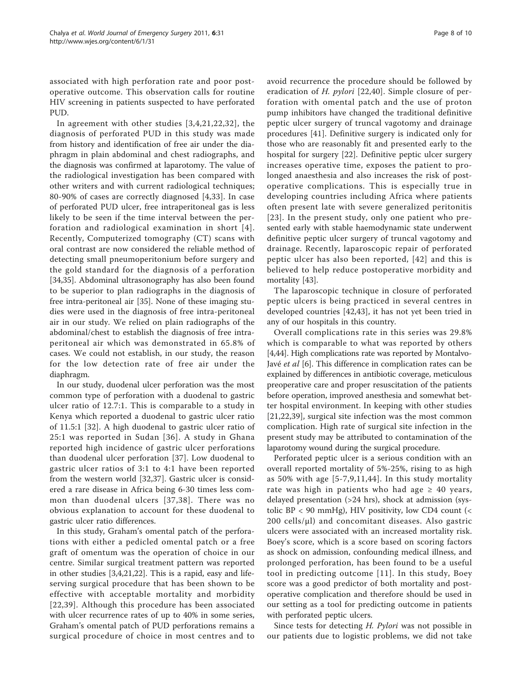associated with high perforation rate and poor postoperative outcome. This observation calls for routine HIV screening in patients suspected to have perforated PUD.

In agreement with other studies [[3](#page-8-0),[4](#page-8-0),[21](#page-8-0),[22](#page-8-0),[32](#page-9-0)], the diagnosis of perforated PUD in this study was made from history and identification of free air under the diaphragm in plain abdominal and chest radiographs, and the diagnosis was confirmed at laparotomy. The value of the radiological investigation has been compared with other writers and with current radiological techniques; 80-90% of cases are correctly diagnosed [[4](#page-8-0)[,33\]](#page-9-0). In case of perforated PUD ulcer, free intraperitoneal gas is less likely to be seen if the time interval between the perforation and radiological examination in short [[4\]](#page-8-0). Recently, Computerized tomography (CT) scans with oral contrast are now considered the reliable method of detecting small pneumoperitonium before surgery and the gold standard for the diagnosis of a perforation [[34,35\]](#page-9-0). Abdominal ultrasonography has also been found to be superior to plan radiographs in the diagnosis of free intra-peritoneal air [\[35](#page-9-0)]. None of these imaging studies were used in the diagnosis of free intra-peritoneal air in our study. We relied on plain radiographs of the abdominal/chest to establish the diagnosis of free intraperitoneal air which was demonstrated in 65.8% of cases. We could not establish, in our study, the reason for the low detection rate of free air under the diaphragm.

In our study, duodenal ulcer perforation was the most common type of perforation with a duodenal to gastric ulcer ratio of 12.7:1. This is comparable to a study in Kenya which reported a duodenal to gastric ulcer ratio of 11.5:1 [[32\]](#page-9-0). A high duodenal to gastric ulcer ratio of 25:1 was reported in Sudan [[36](#page-9-0)]. A study in Ghana reported high incidence of gastric ulcer perforations than duodenal ulcer perforation [[37\]](#page-9-0). Low duodenal to gastric ulcer ratios of 3:1 to 4:1 have been reported from the western world [\[32](#page-9-0),[37](#page-9-0)]. Gastric ulcer is considered a rare disease in Africa being 6-30 times less common than duodenal ulcers [[37,38](#page-9-0)]. There was no obvious explanation to account for these duodenal to gastric ulcer ratio differences.

In this study, Graham's omental patch of the perforations with either a pedicled omental patch or a free graft of omentum was the operation of choice in our centre. Similar surgical treatment pattern was reported in other studies [\[3,4,21,22\]](#page-8-0). This is a rapid, easy and lifeserving surgical procedure that has been shown to be effective with acceptable mortality and morbidity [[22,](#page-8-0)[39](#page-9-0)]. Although this procedure has been associated with ulcer recurrence rates of up to 40% in some series, Graham's omental patch of PUD perforations remains a surgical procedure of choice in most centres and to avoid recurrence the procedure should be followed by eradication of *H. pylori* [\[22,](#page-8-0)[40](#page-9-0)]. Simple closure of perforation with omental patch and the use of proton pump inhibitors have changed the traditional definitive peptic ulcer surgery of truncal vagotomy and drainage procedures [\[41](#page-9-0)]. Definitive surgery is indicated only for those who are reasonably fit and presented early to the hospital for surgery [[22\]](#page-8-0). Definitive peptic ulcer surgery increases operative time, exposes the patient to prolonged anaesthesia and also increases the risk of postoperative complications. This is especially true in developing countries including Africa where patients often present late with severe generalized peritonitis [[23\]](#page-8-0). In the present study, only one patient who presented early with stable haemodynamic state underwent definitive peptic ulcer surgery of truncal vagotomy and drainage. Recently, laparoscopic repair of perforated peptic ulcer has also been reported, [[42](#page-9-0)] and this is believed to help reduce postoperative morbidity and mortality [\[43\]](#page-9-0).

The laparoscopic technique in closure of perforated peptic ulcers is being practiced in several centres in developed countries [[42,43\]](#page-9-0), it has not yet been tried in any of our hospitals in this country.

Overall complications rate in this series was 29.8% which is comparable to what was reported by others [[4,](#page-8-0)[44](#page-9-0)]. High complications rate was reported by Montalvo-Javé et al [[6\]](#page-8-0). This difference in complication rates can be explained by differences in antibiotic coverage, meticulous preoperative care and proper resuscitation of the patients before operation, improved anesthesia and somewhat better hospital environment. In keeping with other studies [[21,22](#page-8-0),[39\]](#page-9-0), surgical site infection was the most common complication. High rate of surgical site infection in the present study may be attributed to contamination of the laparotomy wound during the surgical procedure.

Perforated peptic ulcer is a serious condition with an overall reported mortality of 5%-25%, rising to as high as 50% with age [\[5-7,9](#page-8-0),[11](#page-8-0),[44](#page-9-0)]. In this study mortality rate was high in patients who had age  $\geq 40$  years, delayed presentation (>24 hrs), shock at admission (systolic BP < 90 mmHg), HIV positivity, low CD4 count (<  $200$  cells/ $\mu$ l) and concomitant diseases. Also gastric ulcers were associated with an increased mortality risk. Boey's score, which is a score based on scoring factors as shock on admission, confounding medical illness, and prolonged perforation, has been found to be a useful tool in predicting outcome [[11](#page-8-0)]. In this study, Boey score was a good predictor of both mortality and postoperative complication and therefore should be used in our setting as a tool for predicting outcome in patients with perforated peptic ulcers.

Since tests for detecting H. Pylori was not possible in our patients due to logistic problems, we did not take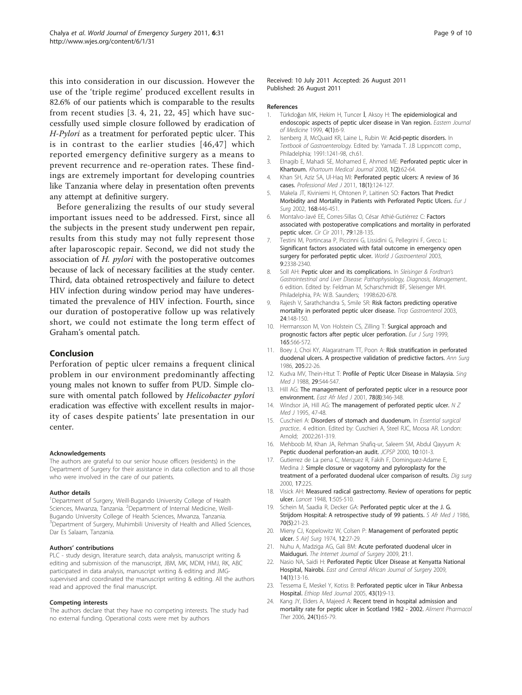<span id="page-8-0"></span>this into consideration in our discussion. However the use of the 'triple regime' produced excellent results in 82.6% of our patients which is comparable to the results from recent studies [3. 4, 21, 22, 45] which have successfully used simple closure followed by eradication of H-Pylori as a treatment for perforated peptic ulcer. This is in contrast to the earlier studies [[46](#page-9-0),[47\]](#page-9-0) which reported emergency definitive surgery as a means to prevent recurrence and re-operation rates. These findings are extremely important for developing countries like Tanzania where delay in presentation often prevents any attempt at definitive surgery.

Before generalizing the results of our study several important issues need to be addressed. First, since all the subjects in the present study underwent pen repair, results from this study may not fully represent those after laparoscopic repair. Second, we did not study the association of H. pylori with the postoperative outcomes because of lack of necessary facilities at the study center. Third, data obtained retrospectively and failure to detect HIV infection during window period may have underestimated the prevalence of HIV infection. Fourth, since our duration of postoperative follow up was relatively short, we could not estimate the long term effect of Graham's omental patch.

# Conclusion

Perforation of peptic ulcer remains a frequent clinical problem in our environment predominantly affecting young males not known to suffer from PUD. Simple closure with omental patch followed by Helicobacter pylori eradication was effective with excellent results in majority of cases despite patients' late presentation in our center.

#### Acknowledgements

The authors are grateful to our senior house officers (residents) in the Department of Surgery for their assistance in data collection and to all those who were involved in the care of our patients.

#### Author details

<sup>1</sup>Department of Surgery, Weill-Bugando University College of Health Sciences, Mwanza, Tanzania. <sup>2</sup>Department of Internal Medicine, Weill-Bugando University College of Health Sciences, Mwanza, Tanzania. <sup>3</sup>Department of Surgery, Muhimbili University of Health and Allied Sciences, Dar Es Salaam, Tanzania.

#### Authors' contributions

PLC - study design, literature search, data analysis, manuscript writing & editing and submission of the manuscript, JBM, MK, MDM, HMJ, RK, ABC participated in data analysis, manuscript writing & editing and JMGsupervised and coordinated the manuscript writing & editing. All the authors read and approved the final manuscript.

#### Competing interests

The authors declare that they have no competing interests. The study had no external funding. Operational costs were met by authors

#### Received: 10 July 2011 Accepted: 26 August 2011 Published: 26 August 2011

#### References

- 1. Türkdoğan MK, Hekim H, Tuncer İ, Aksoy H: The epidemiological and endoscopic aspects of peptic ulcer disease in Van region. Eastern Journal of Medicine 1999, 4(1):6-9.
- 2. Isenberg JI, McQuaid KR, Laine L, Rubin W: Acid-peptic disorders. In Textbook of Gastroenterology. Edited by: Yamada T. J.B Lıppıncott comp., Philadelphia; 1991:1241-98, ch.61.
- 3. Elnagib E, Mahadi SE, Mohamed E, Ahmed ME: Perforated peptic ulcer in Khartoum. Khartoum Medical Journal 2008, 1(2):62-64.
- 4. Khan SH, Aziz SA, Ul-Haq MI: Perforated peptic ulcers: A review of 36 cases. Professional Med J 2011, 18(1):124-127.
- 5. Makela JT, Kiviniemi H, Ohtonen P, Laitinen SO: [Factors That Predict](http://www.ncbi.nlm.nih.gov/pubmed/12549682?dopt=Abstract) [Morbidity and Mortality in Patients with Perforated Peptic Ulcers.](http://www.ncbi.nlm.nih.gov/pubmed/12549682?dopt=Abstract) Eur J Surg 2002, 168:446-451.
- 6. Montalvo-Javé EE, Corres-Sillas O, César Athié-Gutiérrez C: Factors associated with postoperative complications and mortality in perforated peptic ulcer. Cir Cir 2011, 79:128-135.
- 7. Testini M, Portincasa P, Piccinni G, Lissidini G, Pellegrini F, Greco L: [Significant factors associated with fatal outcome in emergency open](http://www.ncbi.nlm.nih.gov/pubmed/14562406?dopt=Abstract) [surgery for perforated peptic ulcer.](http://www.ncbi.nlm.nih.gov/pubmed/14562406?dopt=Abstract) World J Gastroenterol 2003, 9:2338-2340.
- 8. Soll AH: Peptic ulcer and its complications. In Sleisinger & Fordtran's Gastrointestinal and Liver Disease: Pathophysiology, Diagnosis, Management.. 6 edition. Edited by: Feldman M, Scharschmidt BF, Sleisenger MH. Philadelphia, PA: W.B. Saunders; 1998:620-678.
- 9. Rajesh V, Sarathchandra S, Smile SR: [Risk factors predicting operative](http://www.ncbi.nlm.nih.gov/pubmed/14978992?dopt=Abstract) [mortality in perforated peptic ulcer disease.](http://www.ncbi.nlm.nih.gov/pubmed/14978992?dopt=Abstract) Trop Gastroenterol 2003, 24:148-150.
- 10. Hermansson M, Von Holstein CS, Zilling T: [Surgical approach and](http://www.ncbi.nlm.nih.gov/pubmed/10433141?dopt=Abstract) [prognostic factors after peptic ulcer perforation.](http://www.ncbi.nlm.nih.gov/pubmed/10433141?dopt=Abstract) Eur J Surg 1999, 165:566-572.
- 11. Boey J, Choi KY, Alagaratnam TT, Poon A: Risk stratification in perforated duodenal ulcers. A prospective validation of predictive factors. Ann Surg 1986, 205:22-26.
- 12. Kudva MV, Thein-Htut T: Profile of Peptic Ulcer Disease in Malaysia. Sing Med J 1988, 29:544-547.
- 13. Hill AG: [The management of perforated peptic ulcer in a resource poor](http://www.ncbi.nlm.nih.gov/pubmed/11957256?dopt=Abstract) [environment.](http://www.ncbi.nlm.nih.gov/pubmed/11957256?dopt=Abstract) East Afr Med J 2001, 78(8):346-348.
- 14. Windsor JA, Hill AG: The management of perforated peptic ulcer. N Z Med J 1995, 47-48.
- 15. Cuschieri A: Disorders of stomach and duodenum. In Essential surgical practice.. 4 edition. Edited by: Cuschieri A, Steel RJC, Moosa AR. London: Arnold; 2002:261-319.
- 16. Mehboob M, Khan JA, Rehman Shafiq-ur, Saleem SM, Abdul Qayyum A: Peptic duodenal perforation-an audit. JCPSP 2000, 10:101-3.
- 17. Gutierrez de La pena C, Merquez R, Fakih F, Dominguez-Adame E, Medina J: [Simple closure or vagotomy and pyloroplasty for the](http://www.ncbi.nlm.nih.gov/pubmed/10867454?dopt=Abstract) [treatment of a perforated duodenal ulcer comparison of results.](http://www.ncbi.nlm.nih.gov/pubmed/10867454?dopt=Abstract) Dig surgi 2000, 17:225.
- 18. Visick AH: [Measured radical gastrectomy. Review of operations for peptic](http://www.ncbi.nlm.nih.gov/pubmed/18906768?dopt=Abstract) [ulcer.](http://www.ncbi.nlm.nih.gov/pubmed/18906768?dopt=Abstract) Lancet 1948, 1:505-510.
- 19. Schein M, Saadia R, Decker GA: [Perforated peptic ulcer at the J. G.](http://www.ncbi.nlm.nih.gov/pubmed/3726682?dopt=Abstract) [Strijdom Hospital: A retrospective study of 99 patients.](http://www.ncbi.nlm.nih.gov/pubmed/3726682?dopt=Abstract) S Afr Med J 1986, 70(5):21-23.
- 20. Mieny CJ, Kopelowitz W, Colsen P: Management of perforated peptic ulcer. S Air] Surg 1974, 12:27-29.
- 21. Nuhu A, Madziga AG, Gali BM: Acute perforated duodenal ulcer in Maiduguri. The Internet Journal of Surgery 2009, 21:1.
- 22. Nasio NA, Saidi H: Perforated Peptic Ulcer Disease at Kenyatta National Hospital, Nairobi. East and Central African Journal of Surgery 2009, 14(1):13-16.
- 23. Tessema E, Meskel Y, Kotiss B: Perforated peptic ulcer in Tikur Anbessa Hospital. Ethiop Med Journal 2005, 43(1):9-13.
- 24. Kang JY, Elders A, Majeed A: [Recent trend in hospital admission and](http://www.ncbi.nlm.nih.gov/pubmed/16803604?dopt=Abstract) [mortality rate for peptic ulcer in Scotland 1982 - 2002.](http://www.ncbi.nlm.nih.gov/pubmed/16803604?dopt=Abstract) Aliment Pharmacol Ther 2006, 24(1):65-79.